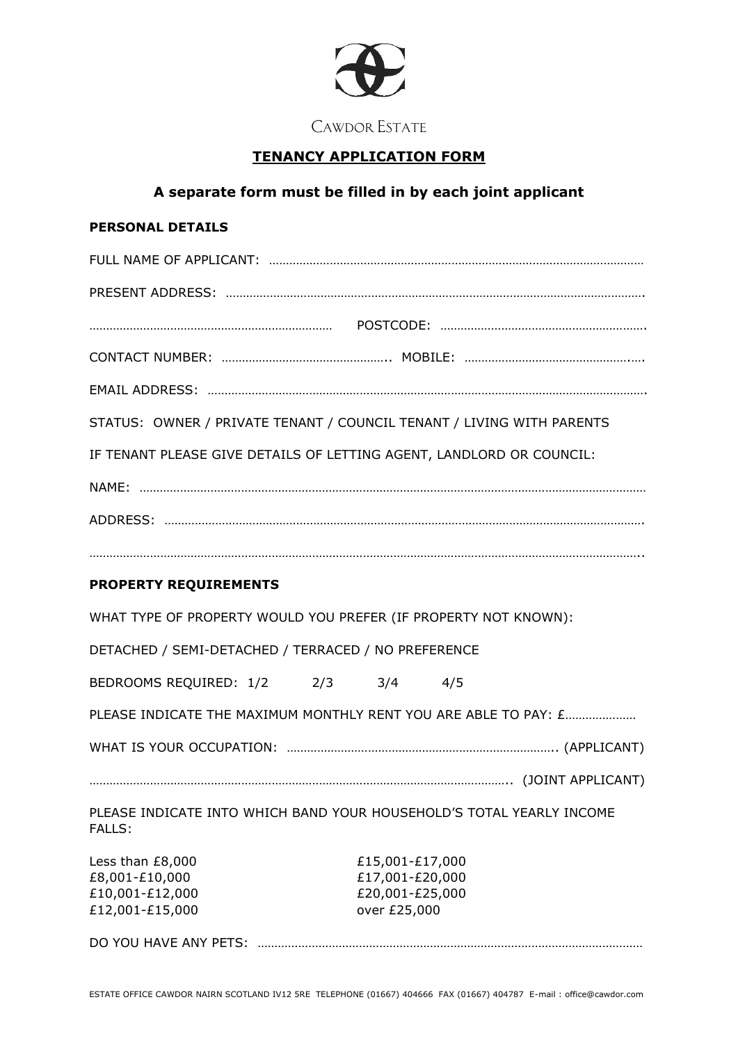

Cawdor Estate

## **TENANCY APPLICATION FORM**

# **A separate form must be filled in by each joint applicant**

### **PERSONAL DETAILS**

| STATUS: OWNER / PRIVATE TENANT / COUNCIL TENANT / LIVING WITH PARENTS                                                                             |  |  |  |  |
|---------------------------------------------------------------------------------------------------------------------------------------------------|--|--|--|--|
| IF TENANT PLEASE GIVE DETAILS OF LETTING AGENT, LANDLORD OR COUNCIL:                                                                              |  |  |  |  |
|                                                                                                                                                   |  |  |  |  |
|                                                                                                                                                   |  |  |  |  |
|                                                                                                                                                   |  |  |  |  |
| <b>PROPERTY REQUIREMENTS</b>                                                                                                                      |  |  |  |  |
| WHAT TYPE OF PROPERTY WOULD YOU PREFER (IF PROPERTY NOT KNOWN):                                                                                   |  |  |  |  |
| DETACHED / SEMI-DETACHED / TERRACED / NO PREFERENCE                                                                                               |  |  |  |  |
| BEDROOMS REQUIRED: 1/2 2/3 3/4 4/5                                                                                                                |  |  |  |  |
| PLEASE INDICATE THE MAXIMUM MONTHLY RENT YOU ARE ABLE TO PAY: £                                                                                   |  |  |  |  |
|                                                                                                                                                   |  |  |  |  |
|                                                                                                                                                   |  |  |  |  |
| PLEASE INDICATE INTO WHICH BAND YOUR HOUSEHOLD'S TOTAL YEARLY INCOME<br><b>FALLS:</b>                                                             |  |  |  |  |
| Less than £8,000<br>£15,001-£17,000<br>£8,001-£10,000<br>£17,001-£20,000<br>£20,001-£25,000<br>£10,001-£12,000<br>£12,001-£15,000<br>over £25,000 |  |  |  |  |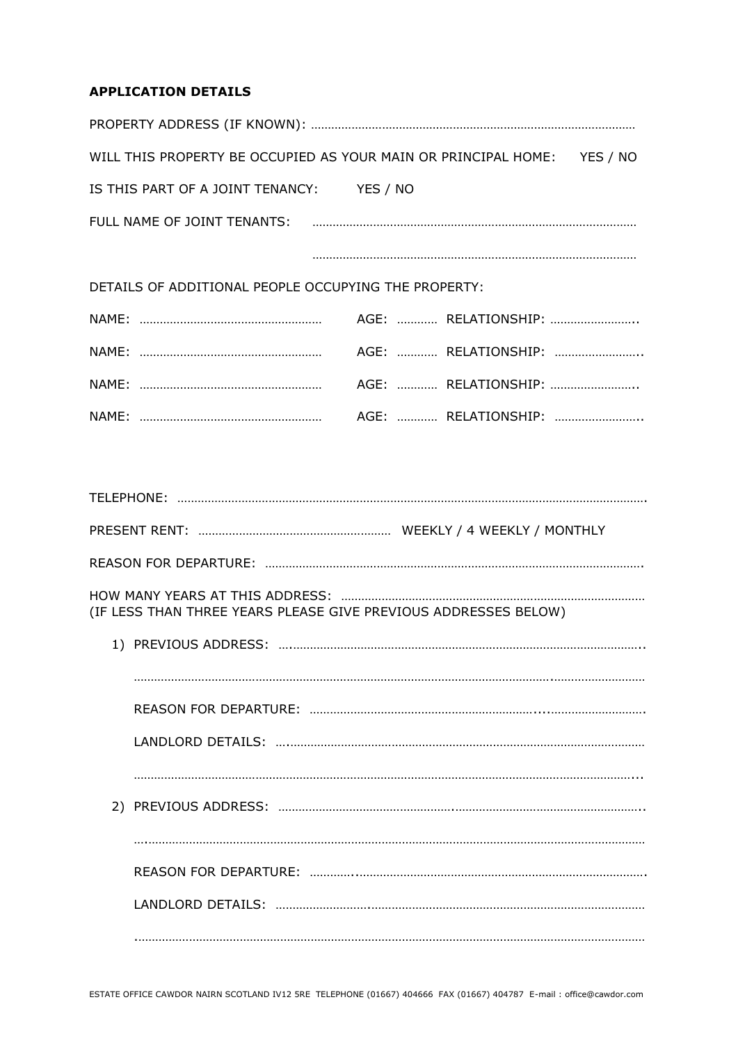## **APPLICATION DETAILS**

| WILL THIS PROPERTY BE OCCUPIED AS YOUR MAIN OR PRINCIPAL HOME: YES / NO |  |  |  |
|-------------------------------------------------------------------------|--|--|--|
|                                                                         |  |  |  |
|                                                                         |  |  |  |
|                                                                         |  |  |  |
| DETAILS OF ADDITIONAL PEOPLE OCCUPYING THE PROPERTY:                    |  |  |  |
|                                                                         |  |  |  |
|                                                                         |  |  |  |
|                                                                         |  |  |  |
|                                                                         |  |  |  |
|                                                                         |  |  |  |
|                                                                         |  |  |  |
|                                                                         |  |  |  |
|                                                                         |  |  |  |
|                                                                         |  |  |  |
| (IF LESS THAN THREE YEARS PLEASE GIVE PREVIOUS ADDRESSES BELOW)         |  |  |  |
|                                                                         |  |  |  |
|                                                                         |  |  |  |
|                                                                         |  |  |  |
|                                                                         |  |  |  |
|                                                                         |  |  |  |
|                                                                         |  |  |  |
|                                                                         |  |  |  |
|                                                                         |  |  |  |
|                                                                         |  |  |  |
|                                                                         |  |  |  |
|                                                                         |  |  |  |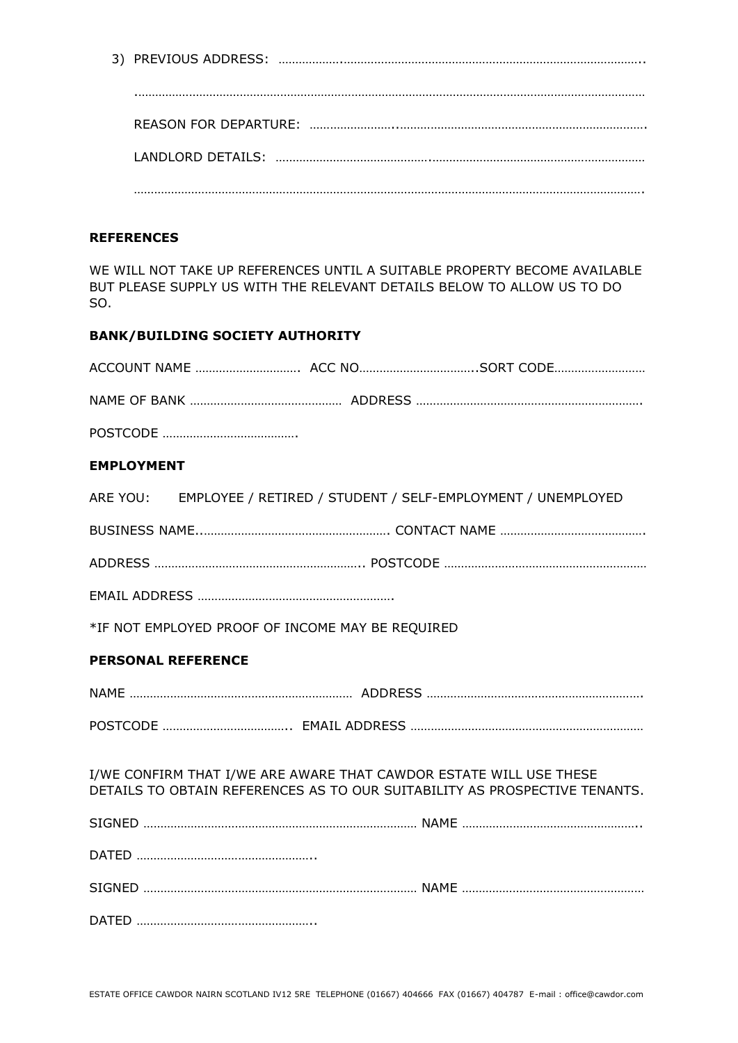#### **REFERENCES**

WE WILL NOT TAKE UP REFERENCES UNTIL A SUITABLE PROPERTY BECOME AVAILABLE BUT PLEASE SUPPLY US WITH THE RELEVANT DETAILS BELOW TO ALLOW US TO DO SO.

#### **BANK/BUILDING SOCIETY AUTHORITY**

| ACCOUNT NAME  ACC NOSORT CODE                                                                                                                    |  |  |  |  |
|--------------------------------------------------------------------------------------------------------------------------------------------------|--|--|--|--|
|                                                                                                                                                  |  |  |  |  |
|                                                                                                                                                  |  |  |  |  |
| <b>EMPLOYMENT</b>                                                                                                                                |  |  |  |  |
| ARE YOU: EMPLOYEE / RETIRED / STUDENT / SELF-EMPLOYMENT / UNEMPLOYED                                                                             |  |  |  |  |
|                                                                                                                                                  |  |  |  |  |
|                                                                                                                                                  |  |  |  |  |
|                                                                                                                                                  |  |  |  |  |
| *IF NOT EMPLOYED PROOF OF INCOME MAY BE REQUIRED                                                                                                 |  |  |  |  |
| <b>PERSONAL REFERENCE</b>                                                                                                                        |  |  |  |  |
|                                                                                                                                                  |  |  |  |  |
|                                                                                                                                                  |  |  |  |  |
| I/WE CONFIRM THAT I/WE ARE AWARE THAT CAWDOR ESTATE WILL USE THESE<br>DETAILS TO OBTAIN REFERENCES AS TO OUR SUITABILITY AS PROSPECTIVE TENANTS. |  |  |  |  |
|                                                                                                                                                  |  |  |  |  |
|                                                                                                                                                  |  |  |  |  |
|                                                                                                                                                  |  |  |  |  |
|                                                                                                                                                  |  |  |  |  |